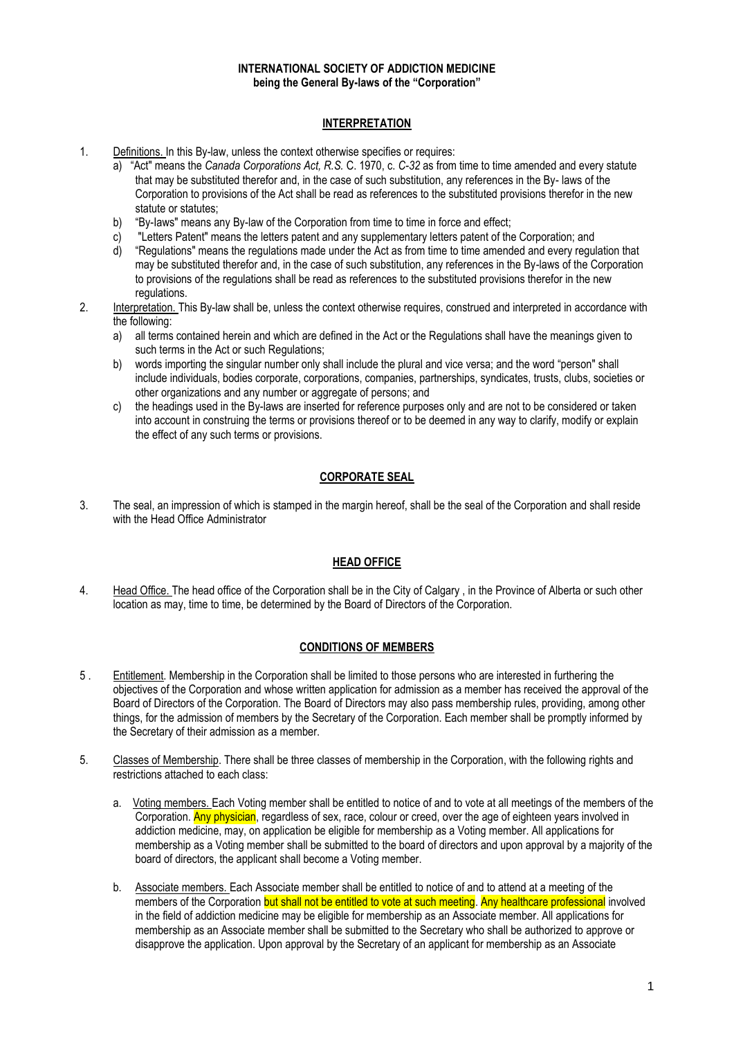### **INTERNATIONAL SOCIETY OF ADDICTION MEDICINE being the General By-laws of the "Corporation"**

### **INTERPRETATION**

- 1. Definitions. In this By-law, unless the context otherwise specifies or requires:
	- a) "Act" means the *Canada Corporations Act, R.S.* C. 1970, c. *C-32* as from time to time amended and every statute that may be substituted therefor and, in the case of such substitution, any references in the By- laws of the Corporation to provisions of the Act shall be read as references to the substituted provisions therefor in the new statute or statutes:
	- b) "By-laws" means any By-law of the Corporation from time to time in force and effect;
	- c) "Letters Patent" means the letters patent and any supplementary letters patent of the Corporation; and
	- d) "Regulations" means the regulations made under the Act as from time to time amended and every regulation that may be substituted therefor and, in the case of such substitution, any references in the By-laws of the Corporation to provisions of the regulations shall be read as references to the substituted provisions therefor in the new regulations.
- 2. Interpretation. This By-law shall be, unless the context otherwise requires, construed and interpreted in accordance with the following:
	- a) all terms contained herein and which are defined in the Act or the Regulations shall have the meanings given to such terms in the Act or such Regulations:
	- b) words importing the singular number only shall include the plural and vice versa; and the word "person" shall include individuals, bodies corporate, corporations, companies, partnerships, syndicates, trusts, clubs, societies or other organizations and any number or aggregate of persons; and
	- c) the headings used in the By-laws are inserted for reference purposes only and are not to be considered or taken into account in construing the terms or provisions thereof or to be deemed in any way to clarify, modify or explain the effect of any such terms or provisions.

# **CORPORATE SEAL**

3. The seal, an impression of which is stamped in the margin hereof, shall be the seal of the Corporation and shall reside with the Head Office Administrator

### **HEAD OFFICE**

4. Head Office. The head office of the Corporation shall be in the City of Calgary , in the Province of Alberta or such other location as may, time to time, be determined by the Board of Directors of the Corporation.

# **CONDITIONS OF MEMBERS**

- 5 . Entitlement. Membership in the Corporation shall be limited to those persons who are interested in furthering the objectives of the Corporation and whose written application for admission as a member has received the approval of the Board of Directors of the Corporation. The Board of Directors may also pass membership rules, providing, among other things, for the admission of members by the Secretary of the Corporation. Each member shall be promptly informed by the Secretary of their admission as a member.
- 5. Classes of Membership. There shall be three classes of membership in the Corporation, with the following rights and restrictions attached to each class:
	- a. Voting members. Each Voting member shall be entitled to notice of and to vote at all meetings of the members of the Corporation. Any physician, regardless of sex, race, colour or creed, over the age of eighteen years involved in addiction medicine, may, on application be eligible for membership as a Voting member. All applications for membership as a Voting member shall be submitted to the board of directors and upon approval by a majority of the board of directors, the applicant shall become a Voting member.
	- b. Associate members. Each Associate member shall be entitled to notice of and to attend at a meeting of the members of the Corporation but shall not be entitled to vote at such meeting. Any healthcare professional involved in the field of addiction medicine may be eligible for membership as an Associate member. All applications for membership as an Associate member shall be submitted to the Secretary who shall be authorized to approve or disapprove the application. Upon approval by the Secretary of an applicant for membership as an Associate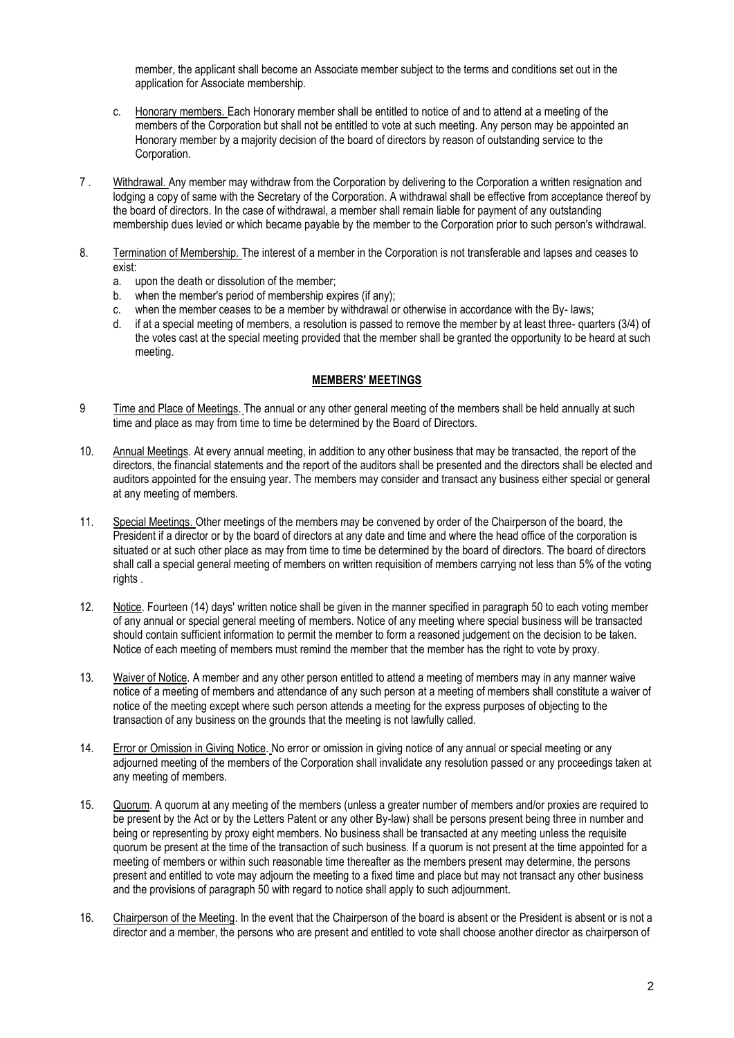member, the applicant shall become an Associate member subject to the terms and conditions set out in the application for Associate membership.

- c. Honorary members. Each Honorary member shall be entitled to notice of and to attend at a meeting of the members of the Corporation but shall not be entitled to vote at such meeting. Any person may be appointed an Honorary member by a majority decision of the board of directors by reason of outstanding service to the Corporation.
- 7 . Withdrawal. Any member may withdraw from the Corporation by delivering to the Corporation a written resignation and lodging a copy of same with the Secretary of the Corporation. A withdrawal shall be effective from acceptance thereof by the board of directors. In the case of withdrawal, a member shall remain liable for payment of any outstanding membership dues levied or which became payable by the member to the Corporation prior to such person's withdrawal.
- 8. Termination of Membership. The interest of a member in the Corporation is not transferable and lapses and ceases to exist:
	- a. upon the death or dissolution of the member;
	- b. when the member's period of membership expires (if any);
	- c. when the member ceases to be a member by withdrawal or otherwise in accordance with the By- laws;<br>d. if at a special meeting of members, a resolution is passed to remove the member by at least three- qua
	- if at a special meeting of members, a resolution is passed to remove the member by at least three- quarters (3/4) of the votes cast at the special meeting provided that the member shall be granted the opportunity to be heard at such meeting.

### **MEMBERS' MEETINGS**

- 9 Time and Place of Meetings. The annual or any other general meeting of the members shall be held annually at such time and place as may from time to time be determined by the Board of Directors.
- 10. Annual Meetings. At every annual meeting, in addition to any other business that may be transacted, the report of the directors, the financial statements and the report of the auditors shall be presented and the directors shall be elected and auditors appointed for the ensuing year. The members may consider and transact any business either special or general at any meeting of members.
- 11. Special Meetings. Other meetings of the members may be convened by order of the Chairperson of the board, the President if a director or by the board of directors at any date and time and where the head office of the corporation is situated or at such other place as may from time to time be determined by the board of directors. The board of directors shall call a special general meeting of members on written requisition of members carrying not less than 5% of the voting rights .
- 12. Notice. Fourteen (14) days' written notice shall be given in the manner specified in paragraph 50 to each voting member of any annual or special general meeting of members. Notice of any meeting where special business will be transacted should contain sufficient information to permit the member to form a reasoned judgement on the decision to be taken. Notice of each meeting of members must remind the member that the member has the right to vote by proxy.
- 13. Waiver of Notice. A member and any other person entitled to attend a meeting of members may in any manner waive notice of a meeting of members and attendance of any such person at a meeting of members shall constitute a waiver of notice of the meeting except where such person attends a meeting for the express purposes of objecting to the transaction of any business on the grounds that the meeting is not lawfully called.
- 14. Error or Omission in Giving Notice. No error or omission in giving notice of any annual or special meeting or any adjourned meeting of the members of the Corporation shall invalidate any resolution passed or any proceedings taken at any meeting of members.
- 15. Quorum. A quorum at any meeting of the members (unless a greater number of members and/or proxies are required to be present by the Act or by the Letters Patent or any other By-law) shall be persons present being three in number and being or representing by proxy eight members. No business shall be transacted at any meeting unless the requisite quorum be present at the time of the transaction of such business. If a quorum is not present at the time appointed for a meeting of members or within such reasonable time thereafter as the members present may determine, the persons present and entitled to vote may adjourn the meeting to a fixed time and place but may not transact any other business and the provisions of paragraph 50 with regard to notice shall apply to such adjournment.
- 16. Chairperson of the Meeting. In the event that the Chairperson of the board is absent or the President is absent or is not a director and a member, the persons who are present and entitled to vote shall choose another director as chairperson of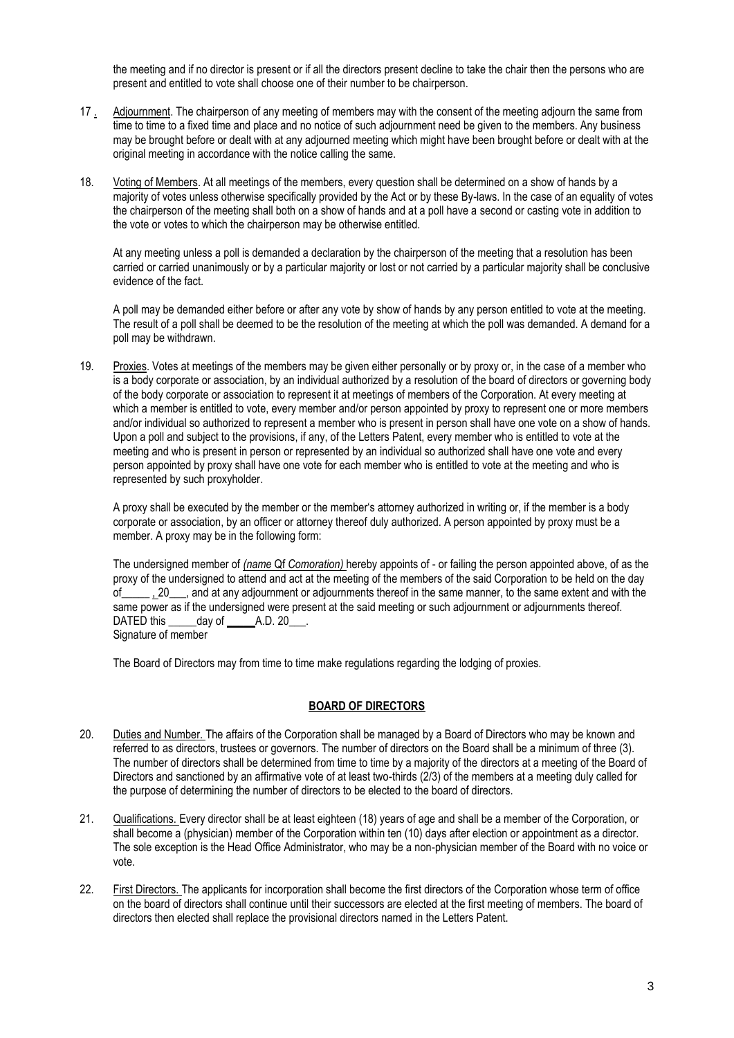the meeting and if no director is present or if all the directors present decline to take the chair then the persons who are present and entitled to vote shall choose one of their number to be chairperson.

- 17 . Adjournment. The chairperson of any meeting of members may with the consent of the meeting adjourn the same from time to time to a fixed time and place and no notice of such adjournment need be given to the members. Any business may be brought before or dealt with at any adjourned meeting which might have been brought before or dealt with at the original meeting in accordance with the notice calling the same.
- 18. Voting of Members. At all meetings of the members, every question shall be determined on a show of hands by a majority of votes unless otherwise specifically provided by the Act or by these By-laws. In the case of an equality of votes the chairperson of the meeting shall both on a show of hands and at a poll have a second or casting vote in addition to the vote or votes to which the chairperson may be otherwise entitled.

At any meeting unless a poll is demanded a declaration by the chairperson of the meeting that a resolution has been carried or carried unanimously or by a particular majority or lost or not carried by a particular majority shall be conclusive evidence of the fact.

A poll may be demanded either before or after any vote by show of hands by any person entitled to vote at the meeting. The result of a poll shall be deemed to be the resolution of the meeting at which the poll was demanded. A demand for a poll may be withdrawn.

19. Proxies. Votes at meetings of the members may be given either personally or by proxy or, in the case of a member who is a body corporate or association, by an individual authorized by a resolution of the board of directors or governing body of the body corporate or association to represent it at meetings of members of the Corporation. At every meeting at which a member is entitled to vote, every member and/or person appointed by proxy to represent one or more members and/or individual so authorized to represent a member who is present in person shall have one vote on a show of hands. Upon a poll and subject to the provisions, if any, of the Letters Patent, every member who is entitled to vote at the meeting and who is present in person or represented by an individual so authorized shall have one vote and every person appointed by proxy shall have one vote for each member who is entitled to vote at the meeting and who is represented by such proxyholder.

A proxy shall be executed by the member or the member's attorney authorized in writing or, if the member is a body corporate or association, by an officer or attorney thereof duly authorized. A person appointed by proxy must be a member. A proxy may be in the following form:

The undersigned member of *(name* Qf *Comoration)* hereby appoints of - or failing the person appointed above, of as the proxy of the undersigned to attend and act at the meeting of the members of the said Corporation to be held on the day of , 20 , and at any adjournment or adjournments thereof in the same manner, to the same extent and with the same power as if the undersigned were present at the said meeting or such adjournment or adjournments thereof. DATED this day of A.D. 20 . Signature of member

The Board of Directors may from time to time make regulations regarding the lodging of proxies.

# **BOARD OF DIRECTORS**

- 20. Duties and Number. The affairs of the Corporation shall be managed by a Board of Directors who may be known and referred to as directors, trustees or governors. The number of directors on the Board shall be a minimum of three (3). The number of directors shall be determined from time to time by a majority of the directors at a meeting of the Board of Directors and sanctioned by an affirmative vote of at least two-thirds (2/3) of the members at a meeting duly called for the purpose of determining the number of directors to be elected to the board of directors.
- 21. Qualifications. Every director shall be at least eighteen (18) years of age and shall be a member of the Corporation, or shall become a (physician) member of the Corporation within ten (10) days after election or appointment as a director. The sole exception is the Head Office Administrator, who may be a non-physician member of the Board with no voice or vote.
- 22. First Directors. The applicants for incorporation shall become the first directors of the Corporation whose term of office on the board of directors shall continue until their successors are elected at the first meeting of members. The board of directors then elected shall replace the provisional directors named in the Letters Patent.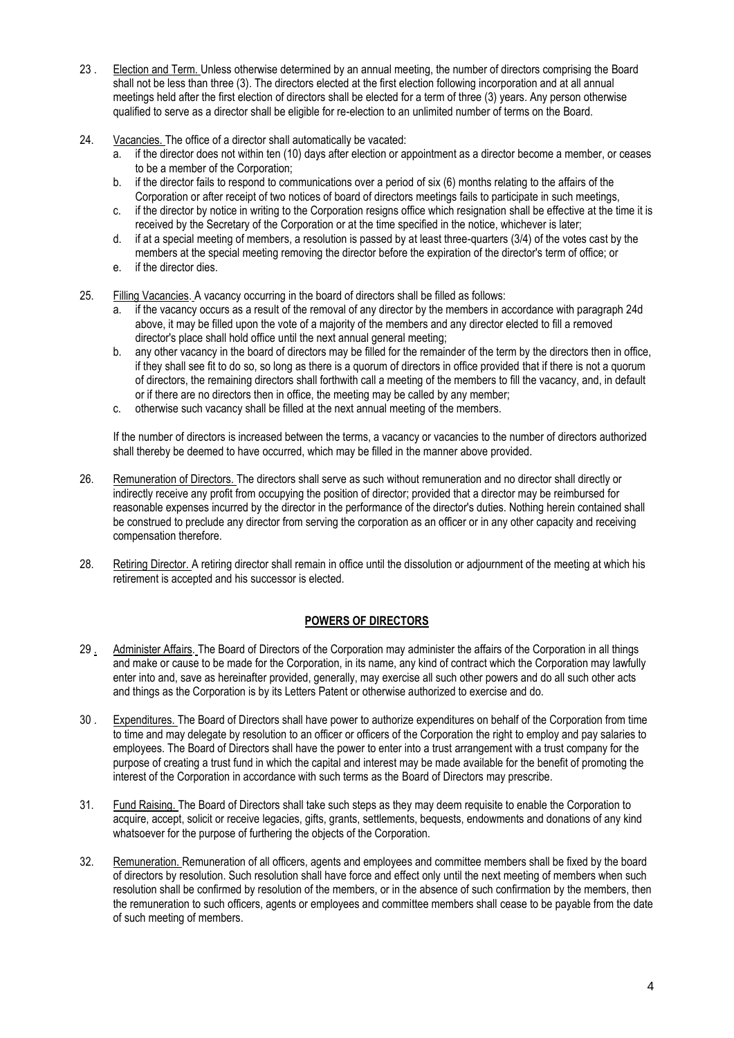- 23 . Election and Term. Unless otherwise determined by an annual meeting, the number of directors comprising the Board shall not be less than three (3). The directors elected at the first election following incorporation and at all annual meetings held after the first election of directors shall be elected for a term of three (3) years. Any person otherwise qualified to serve as a director shall be eligible for re-election to an unlimited number of terms on the Board.
- 24. Vacancies. The office of a director shall automatically be vacated:
	- a. if the director does not within ten (10) days after election or appointment as a director become a member, or ceases to be a member of the Corporation;
	- b. if the director fails to respond to communications over a period of six (6) months relating to the affairs of the Corporation or after receipt of two notices of board of directors meetings fails to participate in such meetings,
	- c. if the director by notice in writing to the Corporation resigns office which resignation shall be effective at the time it is received by the Secretary of the Corporation or at the time specified in the notice, whichever is later;
	- d. if at a special meeting of members, a resolution is passed by at least three-quarters (3/4) of the votes cast by the members at the special meeting removing the director before the expiration of the director's term of office; or
	- e. if the director dies.
- 25. Filling Vacancies. A vacancy occurring in the board of directors shall be filled as follows:
	- a. if the vacancy occurs as a result of the removal of any director by the members in accordance with paragraph 24d above, it may be filled upon the vote of a majority of the members and any director elected to fill a removed director's place shall hold office until the next annual general meeting;
	- b. any other vacancy in the board of directors may be filled for the remainder of the term by the directors then in office, if they shall see fit to do so, so long as there is a quorum of directors in office provided that if there is not a quorum of directors, the remaining directors shall forthwith call a meeting of the members to fill the vacancy, and, in default or if there are no directors then in office, the meeting may be called by any member;
	- c. otherwise such vacancy shall be filled at the next annual meeting of the members.

If the number of directors is increased between the terms, a vacancy or vacancies to the number of directors authorized shall thereby be deemed to have occurred, which may be filled in the manner above provided.

- 26. Remuneration of Directors. The directors shall serve as such without remuneration and no director shall directly or indirectly receive any profit from occupying the position of director; provided that a director may be reimbursed for reasonable expenses incurred by the director in the performance of the director's duties. Nothing herein contained shall be construed to preclude any director from serving the corporation as an officer or in any other capacity and receiving compensation therefore.
- 28. Retiring Director. A retiring director shall remain in office until the dissolution or adjournment of the meeting at which his retirement is accepted and his successor is elected.

# **POWERS OF DIRECTORS**

- 29 . Administer Affairs. The Board of Directors of the Corporation may administer the affairs of the Corporation in all things and make or cause to be made for the Corporation, in its name, any kind of contract which the Corporation may lawfully enter into and, save as hereinafter provided, generally, may exercise all such other powers and do all such other acts and things as the Corporation is by its Letters Patent or otherwise authorized to exercise and do.
- 30 . Expenditures. The Board of Directors shall have power to authorize expenditures on behalf of the Corporation from time to time and may delegate by resolution to an officer or officers of the Corporation the right to employ and pay salaries to employees. The Board of Directors shall have the power to enter into a trust arrangement with a trust company for the purpose of creating a trust fund in which the capital and interest may be made available for the benefit of promoting the interest of the Corporation in accordance with such terms as the Board of Directors may prescribe.
- 31. Fund Raising. The Board of Directors shall take such steps as they may deem requisite to enable the Corporation to acquire, accept, solicit or receive legacies, gifts, grants, settlements, bequests, endowments and donations of any kind whatsoever for the purpose of furthering the objects of the Corporation.
- 32. Remuneration. Remuneration of all officers, agents and employees and committee members shall be fixed by the board of directors by resolution. Such resolution shall have force and effect only until the next meeting of members when such resolution shall be confirmed by resolution of the members, or in the absence of such confirmation by the members, then the remuneration to such officers, agents or employees and committee members shall cease to be payable from the date of such meeting of members.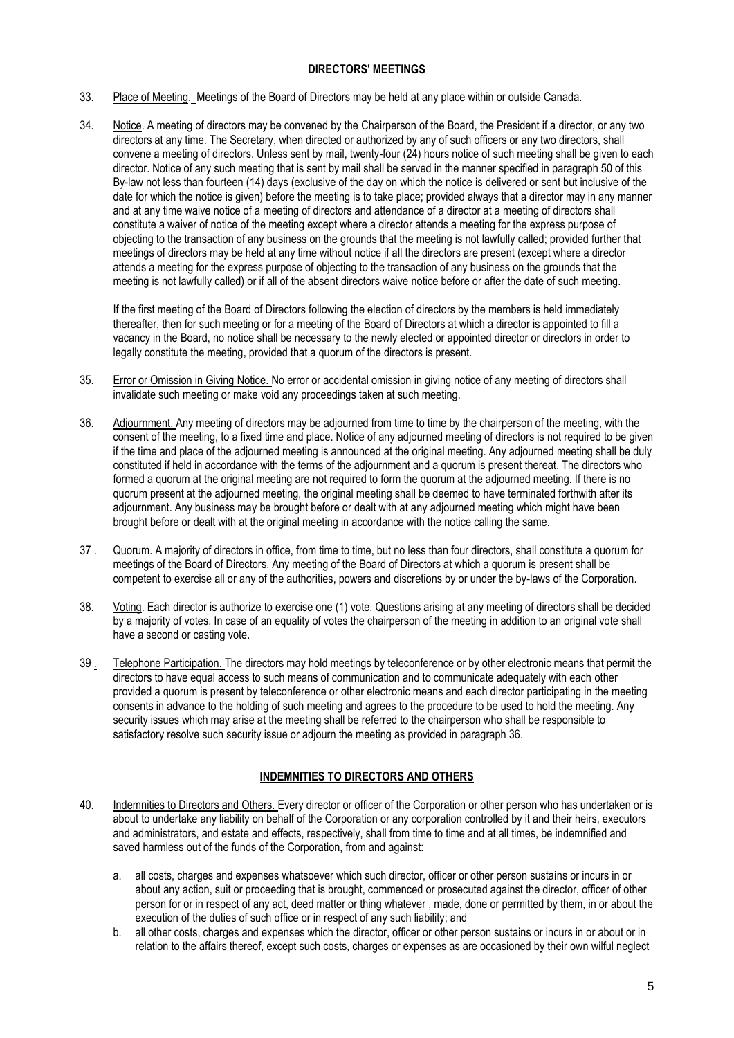### **DIRECTORS' MEETINGS**

- 33. Place of Meeting. Meetings of the Board of Directors may be held at any place within or outside Canada.
- 34. Notice. A meeting of directors may be convened by the Chairperson of the Board, the President if a director, or any two directors at any time. The Secretary, when directed or authorized by any of such officers or any two directors, shall convene a meeting of directors. Unless sent by mail, twenty-four (24) hours notice of such meeting shall be given to each director. Notice of any such meeting that is sent by mail shall be served in the manner specified in paragraph 50 of this By-law not less than fourteen (14) days (exclusive of the day on which the notice is delivered or sent but inclusive of the date for which the notice is given) before the meeting is to take place; provided always that a director may in any manner and at any time waive notice of a meeting of directors and attendance of a director at a meeting of directors shall constitute a waiver of notice of the meeting except where a director attends a meeting for the express purpose of objecting to the transaction of any business on the grounds that the meeting is not lawfully called; provided further that meetings of directors may be held at any time without notice if all the directors are present (except where a director attends a meeting for the express purpose of objecting to the transaction of any business on the grounds that the meeting is not lawfully called) or if all of the absent directors waive notice before or after the date of such meeting.

If the first meeting of the Board of Directors following the election of directors by the members is held immediately thereafter, then for such meeting or for a meeting of the Board of Directors at which a director is appointed to fill a vacancy in the Board, no notice shall be necessary to the newly elected or appointed director or directors in order to legally constitute the meeting, provided that a quorum of the directors is present.

- 35. Error or Omission in Giving Notice. No error or accidental omission in giving notice of any meeting of directors shall invalidate such meeting or make void any proceedings taken at such meeting.
- 36. Adjournment. Any meeting of directors may be adjourned from time to time by the chairperson of the meeting, with the consent of the meeting, to a fixed time and place. Notice of any adjourned meeting of directors is not required to be given if the time and place of the adjourned meeting is announced at the original meeting. Any adjourned meeting shall be duly constituted if held in accordance with the terms of the adjournment and a quorum is present thereat. The directors who formed a quorum at the original meeting are not required to form the quorum at the adjourned meeting. If there is no quorum present at the adjourned meeting, the original meeting shall be deemed to have terminated forthwith after its adjournment. Any business may be brought before or dealt with at any adjourned meeting which might have been brought before or dealt with at the original meeting in accordance with the notice calling the same.
- 37 . Quorum. A majority of directors in office, from time to time, but no less than four directors, shall constitute a quorum for meetings of the Board of Directors. Any meeting of the Board of Directors at which a quorum is present shall be competent to exercise all or any of the authorities, powers and discretions by or under the by-laws of the Corporation.
- 38. Voting. Each director is authorize to exercise one (1) vote. Questions arising at any meeting of directors shall be decided by a majority of votes. In case of an equality of votes the chairperson of the meeting in addition to an original vote shall have a second or casting vote.
- 39 . Telephone Participation. The directors may hold meetings by teleconference or by other electronic means that permit the directors to have equal access to such means of communication and to communicate adequately with each other provided a quorum is present by teleconference or other electronic means and each director participating in the meeting consents in advance to the holding of such meeting and agrees to the procedure to be used to hold the meeting. Any security issues which may arise at the meeting shall be referred to the chairperson who shall be responsible to satisfactory resolve such security issue or adjourn the meeting as provided in paragraph 36.

# **INDEMNITIES TO DIRECTORS AND OTHERS**

- 40. Indemnities to Directors and Others. Every director or officer of the Corporation or other person who has undertaken or is about to undertake any liability on behalf of the Corporation or any corporation controlled by it and their heirs, executors and administrators, and estate and effects, respectively, shall from time to time and at all times, be indemnified and saved harmless out of the funds of the Corporation, from and against:
	- a. all costs, charges and expenses whatsoever which such director, officer or other person sustains or incurs in or about any action, suit or proceeding that is brought, commenced or prosecuted against the director, officer of other person for or in respect of any act, deed matter or thing whatever , made, done or permitted by them, in or about the execution of the duties of such office or in respect of any such liability; and
	- b. all other costs, charges and expenses which the director, officer or other person sustains or incurs in or about or in relation to the affairs thereof, except such costs, charges or expenses as are occasioned by their own wilful neglect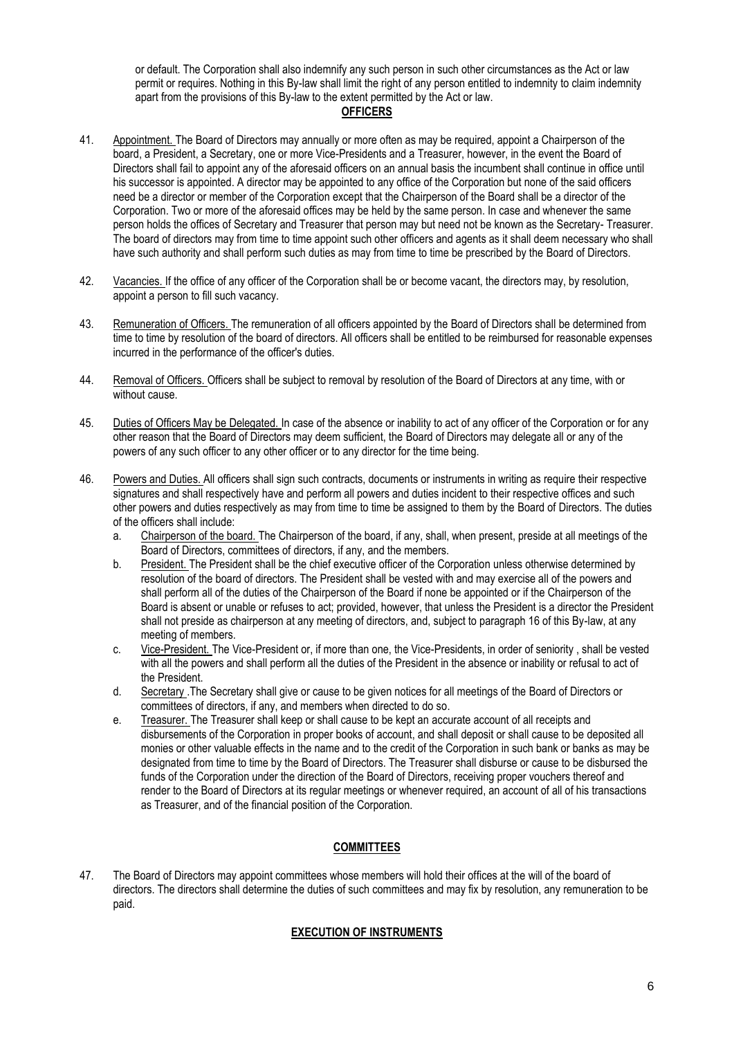or default. The Corporation shall also indemnify any such person in such other circumstances as the Act or law permit or requires. Nothing in this By-law shall limit the right of any person entitled to indemnity to claim indemnity apart from the provisions of this By-law to the extent permitted by the Act or law.

### **OFFICERS**

- 41. Appointment. The Board of Directors may annually or more often as may be required, appoint a Chairperson of the board, a President, a Secretary, one or more Vice-Presidents and a Treasurer, however, in the event the Board of Directors shall fail to appoint any of the aforesaid officers on an annual basis the incumbent shall continue in office until his successor is appointed. A director may be appointed to any office of the Corporation but none of the said officers need be a director or member of the Corporation except that the Chairperson of the Board shall be a director of the Corporation. Two or more of the aforesaid offices may be held by the same person. In case and whenever the same person holds the offices of Secretary and Treasurer that person may but need not be known as the Secretary- Treasurer. The board of directors may from time to time appoint such other officers and agents as it shall deem necessary who shall have such authority and shall perform such duties as may from time to time be prescribed by the Board of Directors.
- 42. Vacancies. If the office of any officer of the Corporation shall be or become vacant, the directors may, by resolution, appoint a person to fill such vacancy.
- 43. Remuneration of Officers. The remuneration of all officers appointed by the Board of Directors shall be determined from time to time by resolution of the board of directors. All officers shall be entitled to be reimbursed for reasonable expenses incurred in the performance of the officer's duties.
- 44. Removal of Officers. Officers shall be subject to removal by resolution of the Board of Directors at any time, with or without cause.
- 45. Duties of Officers May be Delegated. In case of the absence or inability to act of any officer of the Corporation or for any other reason that the Board of Directors may deem sufficient, the Board of Directors may delegate all or any of the powers of any such officer to any other officer or to any director for the time being.
- 46. Powers and Duties. All officers shall sign such contracts, documents or instruments in writing as require their respective signatures and shall respectively have and perform all powers and duties incident to their respective offices and such other powers and duties respectively as may from time to time be assigned to them by the Board of Directors. The duties of the officers shall include:
	- a. Chairperson of the board. The Chairperson of the board, if any, shall, when present, preside at all meetings of the Board of Directors, committees of directors, if any, and the members.
	- b. President. The President shall be the chief executive officer of the Corporation unless otherwise determined by resolution of the board of directors. The President shall be vested with and may exercise all of the powers and shall perform all of the duties of the Chairperson of the Board if none be appointed or if the Chairperson of the Board is absent or unable or refuses to act; provided, however, that unless the President is a director the President shall not preside as chairperson at any meeting of directors, and, subject to paragraph 16 of this By-law, at any meeting of members.
	- c. Vice-President. The Vice-President or, if more than one, the Vice-Presidents, in order of seniority , shall be vested with all the powers and shall perform all the duties of the President in the absence or inability or refusal to act of the President.
	- d. Secretary .The Secretary shall give or cause to be given notices for all meetings of the Board of Directors or committees of directors, if any, and members when directed to do so.
	- e. Treasurer. The Treasurer shall keep or shall cause to be kept an accurate account of all receipts and disbursements of the Corporation in proper books of account, and shall deposit or shall cause to be deposited all monies or other valuable effects in the name and to the credit of the Corporation in such bank or banks as may be designated from time to time by the Board of Directors. The Treasurer shall disburse or cause to be disbursed the funds of the Corporation under the direction of the Board of Directors, receiving proper vouchers thereof and render to the Board of Directors at its regular meetings or whenever required, an account of all of his transactions as Treasurer, and of the financial position of the Corporation.

# **COMMITTEES**

47. The Board of Directors may appoint committees whose members will hold their offices at the will of the board of directors. The directors shall determine the duties of such committees and may fix by resolution, any remuneration to be paid.

# **EXECUTION OF INSTRUMENTS**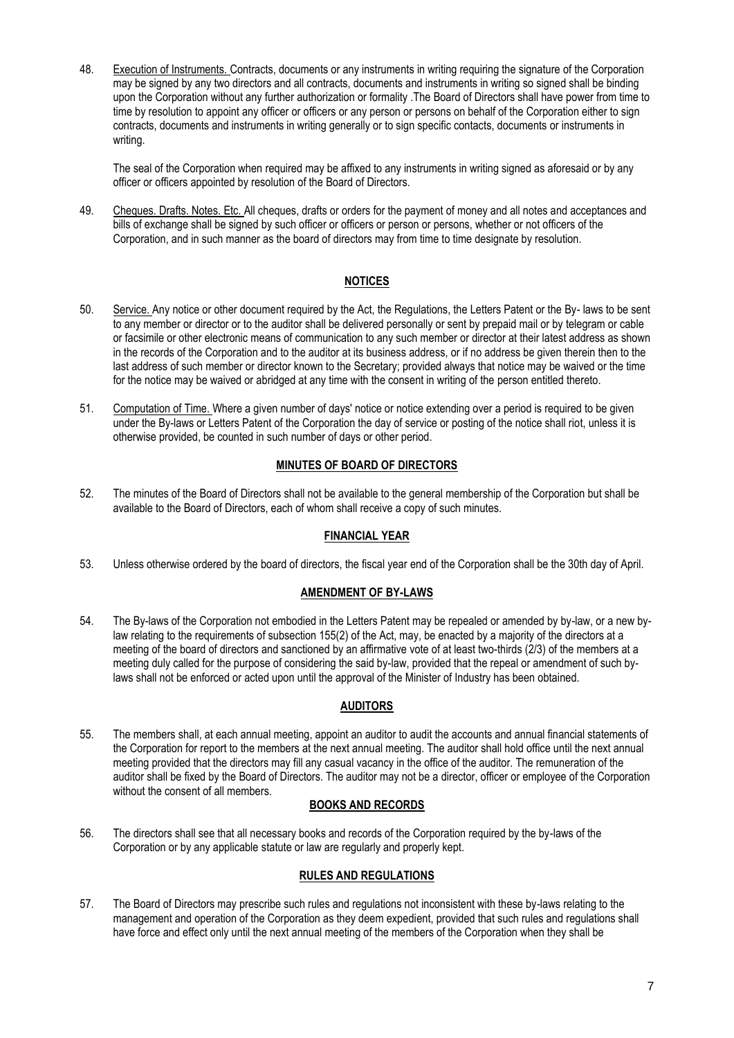48. Execution of Instruments. Contracts, documents or any instruments in writing requiring the signature of the Corporation may be signed by any two directors and all contracts, documents and instruments in writing so signed shall be binding upon the Corporation without any further authorization or formality .The Board of Directors shall have power from time to time by resolution to appoint any officer or officers or any person or persons on behalf of the Corporation either to sign contracts, documents and instruments in writing generally or to sign specific contacts, documents or instruments in writing.

The seal of the Corporation when required may be affixed to any instruments in writing signed as aforesaid or by any officer or officers appointed by resolution of the Board of Directors.

49. Cheques. Drafts. Notes. Etc. All cheques, drafts or orders for the payment of money and all notes and acceptances and bills of exchange shall be signed by such officer or officers or person or persons, whether or not officers of the Corporation, and in such manner as the board of directors may from time to time designate by resolution.

# **NOTICES**

- 50. Service. Any notice or other document required by the Act, the Regulations, the Letters Patent or the By- laws to be sent to any member or director or to the auditor shall be delivered personally or sent by prepaid mail or by telegram or cable or facsimile or other electronic means of communication to any such member or director at their latest address as shown in the records of the Corporation and to the auditor at its business address, or if no address be given therein then to the last address of such member or director known to the Secretary; provided always that notice may be waived or the time for the notice may be waived or abridged at any time with the consent in writing of the person entitled thereto.
- 51. Computation of Time. Where a given number of days' notice or notice extending over a period is required to be given under the By-laws or Letters Patent of the Corporation the day of service or posting of the notice shall riot, unless it is otherwise provided, be counted in such number of days or other period.

# **MINUTES OF BOARD OF DIRECTORS**

52. The minutes of the Board of Directors shall not be available to the general membership of the Corporation but shall be available to the Board of Directors, each of whom shall receive a copy of such minutes.

### **FINANCIAL YEAR**

53. Unless otherwise ordered by the board of directors, the fiscal year end of the Corporation shall be the 30th day of April.

# **AMENDMENT OF BY-LAWS**

54. The By-laws of the Corporation not embodied in the Letters Patent may be repealed or amended by by-law, or a new bylaw relating to the requirements of subsection 155(2) of the Act, may, be enacted by a majority of the directors at a meeting of the board of directors and sanctioned by an affirmative vote of at least two-thirds (2/3) of the members at a meeting duly called for the purpose of considering the said by-law, provided that the repeal or amendment of such bylaws shall not be enforced or acted upon until the approval of the Minister of Industry has been obtained.

# **AUDITORS**

55. The members shall, at each annual meeting, appoint an auditor to audit the accounts and annual financial statements of the Corporation for report to the members at the next annual meeting. The auditor shall hold office until the next annual meeting provided that the directors may fill any casual vacancy in the office of the auditor. The remuneration of the auditor shall be fixed by the Board of Directors. The auditor may not be a director, officer or employee of the Corporation without the consent of all members.

### **BOOKS AND RECORDS**

56. The directors shall see that all necessary books and records of the Corporation required by the by-laws of the Corporation or by any applicable statute or law are regularly and properly kept.

### **RULES AND REGULATIONS**

57. The Board of Directors may prescribe such rules and regulations not inconsistent with these by-laws relating to the management and operation of the Corporation as they deem expedient, provided that such rules and regulations shall have force and effect only until the next annual meeting of the members of the Corporation when they shall be